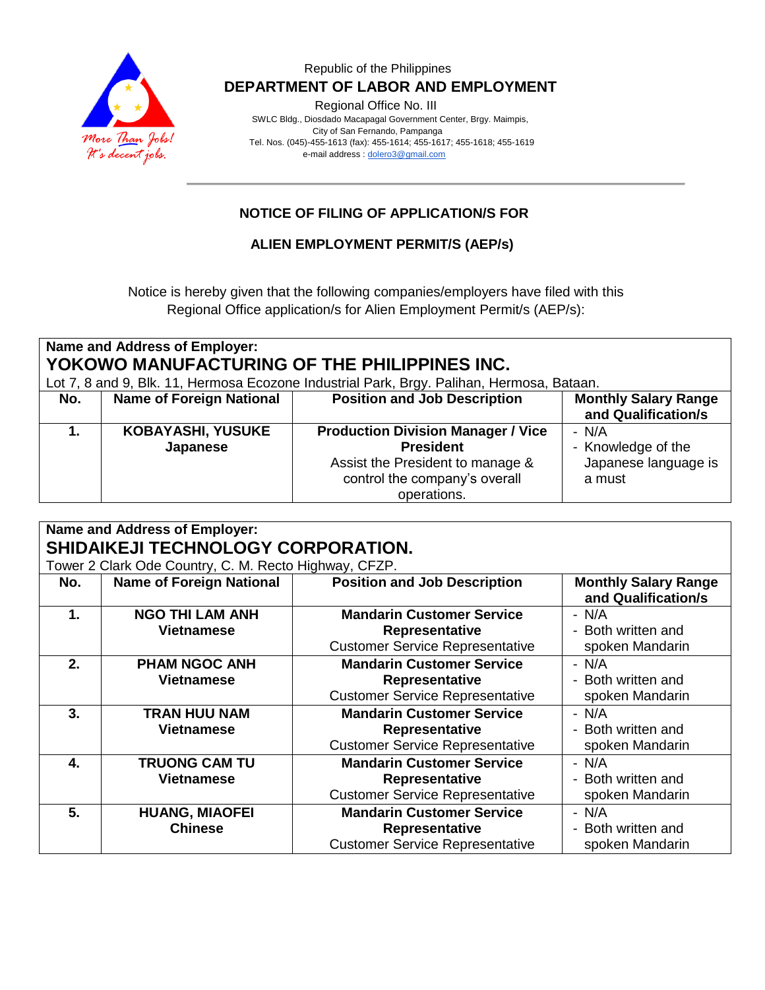

### Republic of the Philippines  **DEPARTMENT OF LABOR AND EMPLOYMENT**

Regional Office No. III

 SWLC Bldg., Diosdado Macapagal Government Center, Brgy. Maimpis, City of San Fernando, Pampanga Tel. Nos. (045)-455-1613 (fax): 455-1614; 455-1617; 455-1618; 455-1619 e-mail address [: dolero3@gmail.com](mailto:dolero3@gmail.com)

## **NOTICE OF FILING OF APPLICATION/S FOR**

## **ALIEN EMPLOYMENT PERMIT/S (AEP/s)**

Notice is hereby given that the following companies/employers have filed with this Regional Office application/s for Alien Employment Permit/s (AEP/s):

| <b>Name and Address of Employer:</b>                                                      |                                 |                                           |                             |  |  |  |  |
|-------------------------------------------------------------------------------------------|---------------------------------|-------------------------------------------|-----------------------------|--|--|--|--|
| YOKOWO MANUFACTURING OF THE PHILIPPINES INC.                                              |                                 |                                           |                             |  |  |  |  |
| Lot 7, 8 and 9, Blk. 11, Hermosa Ecozone Industrial Park, Brgy. Palihan, Hermosa, Bataan. |                                 |                                           |                             |  |  |  |  |
| No.                                                                                       | <b>Name of Foreign National</b> | <b>Position and Job Description</b>       | <b>Monthly Salary Range</b> |  |  |  |  |
|                                                                                           |                                 |                                           | and Qualification/s         |  |  |  |  |
|                                                                                           | <b>KOBAYASHI, YUSUKE</b>        | <b>Production Division Manager / Vice</b> | - N/A                       |  |  |  |  |
|                                                                                           | Japanese                        | <b>President</b>                          | - Knowledge of the          |  |  |  |  |
|                                                                                           |                                 | Assist the President to manage &          | Japanese language is        |  |  |  |  |
|                                                                                           |                                 | control the company's overall             | a must                      |  |  |  |  |
|                                                                                           |                                 | operations.                               |                             |  |  |  |  |

| <b>Name and Address of Employer:</b><br>SHIDAIKEJI TECHNOLOGY CORPORATION. |                                             |                                                                                                     |                                                    |  |  |  |
|----------------------------------------------------------------------------|---------------------------------------------|-----------------------------------------------------------------------------------------------------|----------------------------------------------------|--|--|--|
| Tower 2 Clark Ode Country, C. M. Recto Highway, CFZP.                      |                                             |                                                                                                     |                                                    |  |  |  |
| No.                                                                        | <b>Name of Foreign National</b>             | <b>Position and Job Description</b>                                                                 | <b>Monthly Salary Range</b><br>and Qualification/s |  |  |  |
| $\mathbf 1$ .                                                              | <b>NGO THI LAM ANH</b><br><b>Vietnamese</b> | <b>Mandarin Customer Service</b><br><b>Representative</b><br><b>Customer Service Representative</b> | - N/A<br>- Both written and<br>spoken Mandarin     |  |  |  |
| 2.                                                                         | <b>PHAM NGOC ANH</b><br><b>Vietnamese</b>   | <b>Mandarin Customer Service</b><br><b>Representative</b><br><b>Customer Service Representative</b> | - N/A<br>- Both written and<br>spoken Mandarin     |  |  |  |
| 3.                                                                         | <b>TRAN HUU NAM</b><br><b>Vietnamese</b>    | <b>Mandarin Customer Service</b><br><b>Representative</b><br><b>Customer Service Representative</b> | - N/A<br>- Both written and<br>spoken Mandarin     |  |  |  |
| 4.                                                                         | <b>TRUONG CAM TU</b><br>Vietnamese          | <b>Mandarin Customer Service</b><br><b>Representative</b><br><b>Customer Service Representative</b> | - N/A<br>- Both written and<br>spoken Mandarin     |  |  |  |
| 5.                                                                         | <b>HUANG, MIAOFEI</b><br><b>Chinese</b>     | <b>Mandarin Customer Service</b><br><b>Representative</b><br><b>Customer Service Representative</b> | $- N/A$<br>- Both written and<br>spoken Mandarin   |  |  |  |